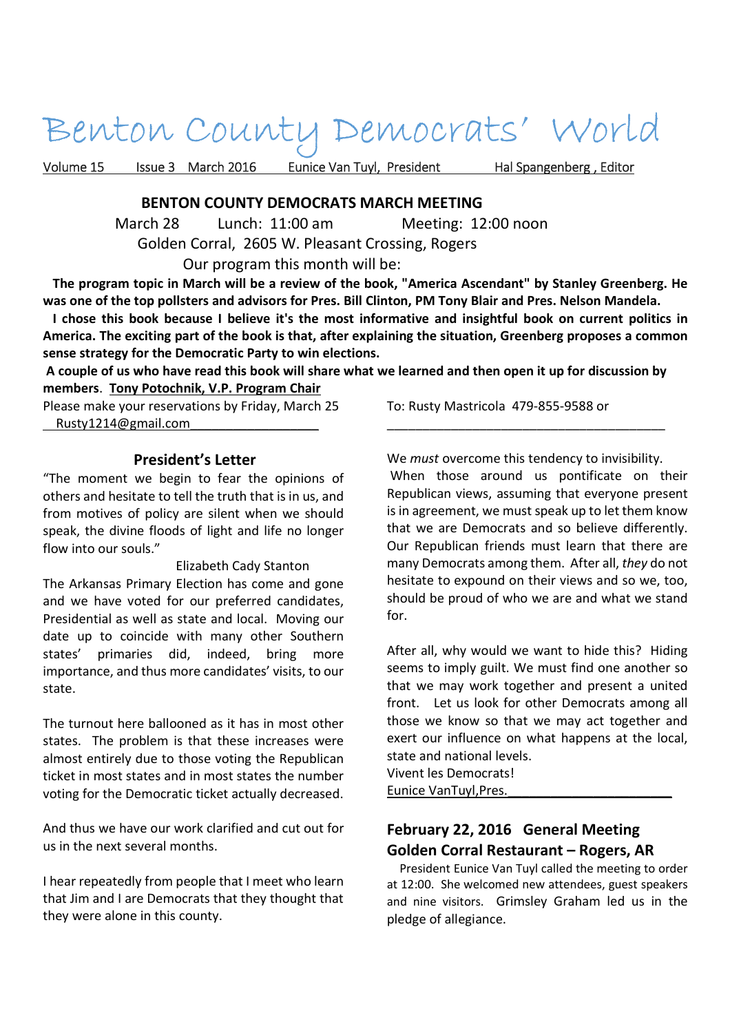# Benton County Democrats' World

Volume 15 Issue 3 March 2016 Eunice Van Tuyl, President Hal Spangenberg, Editor

#### **BENTON COUNTY DEMOCRATS MARCH MEETING**

 March 28 Lunch: 11:00 am Meeting: 12:00 noon Golden Corral, 2605 W. Pleasant Crossing, Rogers Our program this month will be:

 **The program topic in March will be a review of the book, "America Ascendant" by Stanley Greenberg. He was one of the top pollsters and advisors for Pres. Bill Clinton, PM Tony Blair and Pres. Nelson Mandela.** 

 **I chose this book because I believe it's the most informative and insightful book on current politics in America. The exciting part of the book is that, after explaining the situation, Greenberg proposes a common sense strategy for the Democratic Party to win elections.** 

 **A couple of us who have read this book will share what we learned and then open it up for discussion by members**. **Tony Potochnik, V.P. Program Chair** 

Please make your reservations by Friday, March 25 Rusty1214@gmail.com\_\_\_\_\_\_\_\_\_\_\_\_\_\_\_\_\_\_

## **President's Letter**

"The moment we begin to fear the opinions of others and hesitate to tell the truth that is in us, and from motives of policy are silent when we should speak, the divine floods of light and life no longer flow into our souls."

 Elizabeth Cady Stanton The Arkansas Primary Election has come and gone and we have voted for our preferred candidates, Presidential as well as state and local. Moving our date up to coincide with many other Southern states' primaries did, indeed, bring more importance, and thus more candidates' visits, to our state.

The turnout here ballooned as it has in most other states. The problem is that these increases were almost entirely due to those voting the Republican ticket in most states and in most states the number voting for the Democratic ticket actually decreased.

And thus we have our work clarified and cut out for us in the next several months.

I hear repeatedly from people that I meet who learn that Jim and I are Democrats that they thought that they were alone in this county.

To: Rusty Mastricola 479-855-9588 or

We *must* overcome this tendency to invisibility.

\_\_\_\_\_\_\_\_\_\_\_\_\_\_\_\_\_\_\_\_\_\_\_\_\_\_\_\_\_\_\_\_\_\_\_\_\_\_\_

 When those around us pontificate on their Republican views, assuming that everyone present is in agreement, we must speak up to let them know that we are Democrats and so believe differently. Our Republican friends must learn that there are many Democrats among them. After all, *they* do not hesitate to expound on their views and so we, too, should be proud of who we are and what we stand for.

After all, why would we want to hide this? Hiding seems to imply guilt. We must find one another so that we may work together and present a united front. Let us look for other Democrats among all those we know so that we may act together and exert our influence on what happens at the local, state and national levels.

Vivent les Democrats!

Eunice VanTuyl,Pres.\_\_\_\_\_\_\_\_\_\_\_\_\_\_\_\_\_\_\_\_\_\_\_

## **February 22, 2016 General Meeting Golden Corral Restaurant – Rogers, AR**

 President Eunice Van Tuyl called the meeting to order at 12:00. She welcomed new attendees, guest speakers and nine visitors. Grimsley Graham led us in the pledge of allegiance.